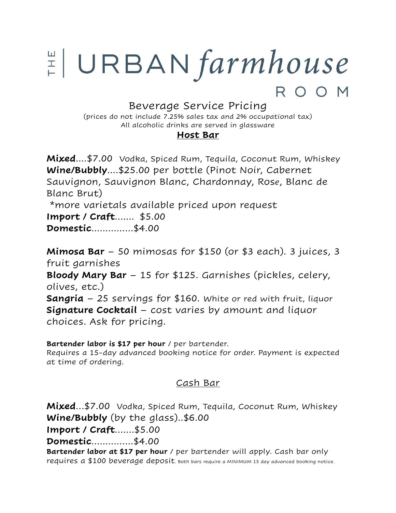# $\sharp$  URBAN farmhouse ROOM

# Beverage Service Pricing

(prices do not include 7.25% sales tax and 2% occupational tax) All alcoholic drinks are served in glassware

#### **Host Bar**

**Mixed**....\$7.00 Vodka, Spiced Rum, Tequila, Coconut Rum, Whiskey **Wine/Bubbly**....\$25.00 per bottle (Pinot Noir, Cabernet Sauvignon, Sauvignon Blanc, Chardonnay, Rose, Blanc de Blanc Brut) \*more varietals available priced upon request

**Import / Craft**....... \$5.00

**Domestic**...............\$4.00

**Mimosa Bar** – 50 mimosas for \$150 (or \$3 each). 3 juices, 3 fruit garnishes **Bloody Mary Bar** – 15 for \$125. Garnishes (pickles, celery, olives, etc.) **Sangria** – 25 servings for \$160. White or red with fruit, liquor **Signature Cocktail** – cost varies by amount and liquor choices. Ask for pricing.

**Bartender labor is \$17 per hour** / per bartender. Requires a 15-day advanced booking notice for order. Payment is expected at time of ordering.

### Cash Bar

**Mixed**…\$7.00 Vodka, Spiced Rum, Tequila, Coconut Rum, Whiskey **Wine/Bubbly** (by the glass)..\$6.00 **Import / Craft**.......\$5.00 **Domestic**...............\$4.00 **Bartender labor at \$17 per hour** / per bartender will apply. Cash bar only requires a \$100 beverage deposit. Both bars require a MINIMUM 15 day advanced booking notice.